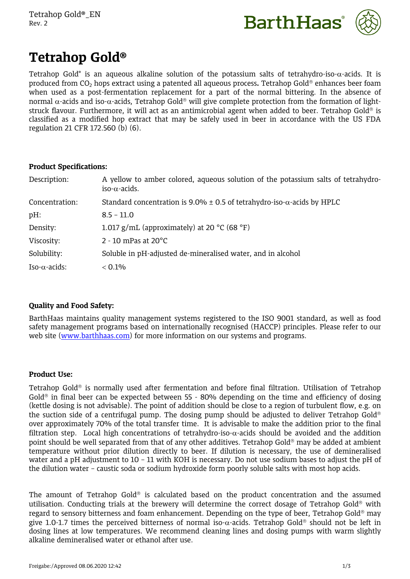



# **Tetrahop Gold®**

Tetrahop Gold® is an aqueous alkaline solution of the potassium salts of tetrahydro-iso- $\alpha$ -acids. It is produced from CO<sub>2</sub> hops extract using a patented all aqueous process. Tetrahop Gold<sup>®</sup> enhances beer foam when used as a post-fermentation replacement for a part of the normal bittering. In the absence of normal  $\alpha$ -acids and iso- $\alpha$ -acids, Tetrahop Gold<sup>®</sup> will give complete protection from the formation of lightstruck flavour. Furthermore, it will act as an antimicrobial agent when added to beer. Tetrahop Gold<sup>®</sup> is classified as a modified hop extract that may be safely used in beer in accordance with the US FDA regulation 21 CFR 172.560 (b) (6).

# **Product Specifications:**

| A yellow to amber colored, aqueous solution of the potassium salts of tetrahydro-<br>iso- $\alpha$ -acids. |
|------------------------------------------------------------------------------------------------------------|
| Standard concentration is 9.0% $\pm$ 0.5 of tetrahydro-iso- $\alpha$ -acids by HPLC                        |
| $8.5 - 11.0$                                                                                               |
| 1.017 g/mL (approximately) at 20 $^{\circ}$ C (68 $^{\circ}$ F)                                            |
| $2 - 10$ mPas at 20 $^{\circ}$ C                                                                           |
| Soluble in pH-adjusted de-mineralised water, and in alcohol                                                |
| $< 0.1\%$                                                                                                  |
|                                                                                                            |

# **Quality and Food Safety:**

BarthHaas maintains quality management systems registered to the ISO 9001 standard, as well as food safety management programs based on internationally recognised (HACCP) principles. Please refer to our web site ([www.barthhaas.com](http://www.barthhaas.com/)) for more information on our systems and programs.

# **Product Use:**

Tetrahop Gold<sup>®</sup> is normally used after fermentation and before final filtration. Utilisation of Tetrahop Gold<sup>®</sup> in final beer can be expected between 55 - 80% depending on the time and efficiency of dosing (kettle dosing is not advisable). The point of addition should be close to a region of turbulent flow, e.g. on the suction side of a centrifugal pump. The dosing pump should be adjusted to deliver Tetrahop Gold<sup>®</sup> over approximately 70% of the total transfer time. It is advisable to make the addition prior to the final filtration step. Local high concentrations of tetrahydro-iso- $\alpha$ -acids should be avoided and the addition point should be well separated from that of any other additives. Tetrahop Gold<sup>®</sup> may be added at ambient temperature without prior dilution directly to beer. If dilution is necessary, the use of demineralised water and a pH adjustment to 10 - 11 with KOH is necessary. Do not use sodium bases to adjust the pH of the dilution water – caustic soda or sodium hydroxide form poorly soluble salts with most hop acids.

The amount of Tetrahop Gold® is calculated based on the product concentration and the assumed utilisation. Conducting trials at the brewery will determine the correct dosage of Tetrahop Gold<sup>®</sup> with regard to sensory bitterness and foam enhancement. Depending on the type of beer. Tetrahop Gold® may give 1.0-1.7 times the perceived bitterness of normal iso- $\alpha$ -acids. Tetrahop Gold<sup>®</sup> should not be left in dosing lines at low temperatures. We recommend cleaning lines and dosing pumps with warm slightly alkaline demineralised water or ethanol after use.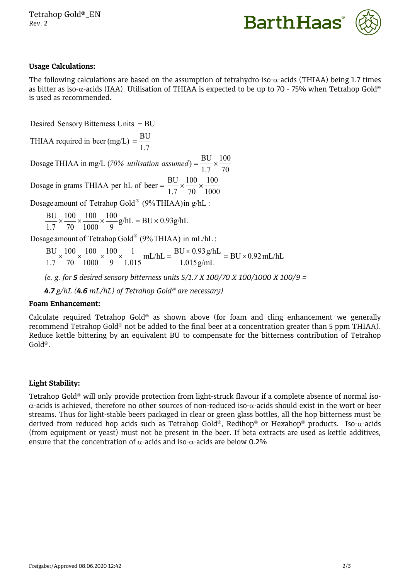Tetrahop Gold®\_EN Rev. 2



# **Usage Calculations:**

The following calculations are based on the assumption of tetrahydro-iso- $\alpha$ -acids (THIAA) being 1.7 times as bitter as iso- $\alpha$ -acids (IAA). Utilisation of THIAA is expected to be up to 70 - 75% when Tetrahop Gold® is used as recommended.

 $Desired$  Sensory Bitterness Units  $=BU$ 

1.7 BU THIAA required in beer (mg/L) =  $\frac{BC}{1.5}$ 

70 100 1.7 Dosage THIAA in mg/L (70% *utilisation assumed*) =  $\frac{BU}{1.2} \times \frac{100}{1.25}$ 

1000 100 70 100 100 1.7 70 1000 Dosage in grams THIAA per hL of beer =  $\frac{BU}{1.5} \times \frac{100}{1.50} \times \frac{100}{1.000}$ 

Dosage amount of Tetrahop Gold<sup>®</sup> (9%THIAA)in g/hL :

$$
\frac{BU}{1.7} \times \frac{100}{70} \times \frac{100}{1000} \times \frac{100}{9} g/hL = BU \times 0.93 g/hL
$$

Dosage amount of Tetrahop Gold® (9%THIAA) in mL/hL :

$$
\frac{BU}{1.7} \times \frac{100}{70} \times \frac{100}{1000} \times \frac{100}{9} \times \frac{1}{1.015} \text{ mL/hL} = \frac{BU \times 0.93 \text{ g/hL}}{1.015 \text{ g/mL}} = BU \times 0.92 \text{ mL/hL}
$$

*(e. g. for 5 desired sensory bitterness units 5/1.7 X 100/70 X 100/1000 X 100/9 =* 

*4.7 g/hL (4.6 mL/hL) of Tetrahop Gold are necessary)*

#### **Foam Enhancement:**

Calculate required Tetrahop Gold® as shown above (for foam and cling enhancement we generally recommend Tetrahop Gold<sup>®</sup> not be added to the final beer at a concentration greater than 5 ppm THIAA). Reduce kettle bittering by an equivalent BU to compensate for the bitterness contribution of Tetrahop  $Gold^*$ .

#### **Light Stability:**

Tetrahop Gold<sup>®</sup> will only provide protection from light-struck flavour if a complete absence of normal iso- $\alpha$ -acids is achieved, therefore no other sources of non-reduced iso- $\alpha$ -acids should exist in the wort or beer streams. Thus for light-stable beers packaged in clear or green glass bottles, all the hop bitterness must be derived from reduced hop acids such as Tetrahop Gold®, Redihop® or Hexahop® products. Iso- $\alpha$ -acids (from equipment or yeast) must not be present in the beer. If beta extracts are used as kettle additives, ensure that the concentration of  $\alpha$ -acids and iso- $\alpha$ -acids are below 0.2%